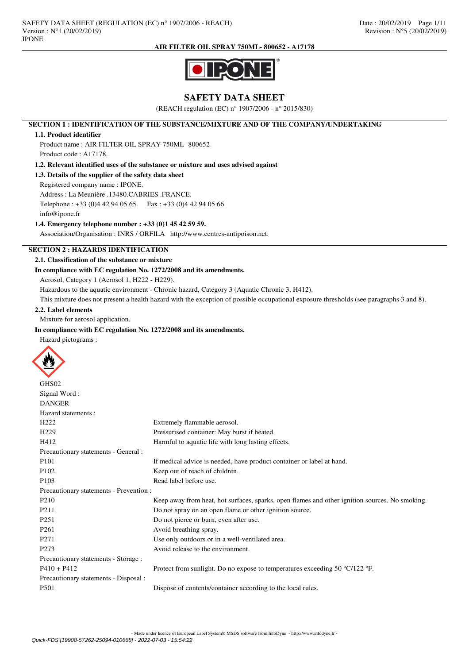

# **SAFETY DATA SHEET**

(REACH regulation (EC) n° 1907/2006 - n° 2015/830)

# **SECTION 1 : IDENTIFICATION OF THE SUBSTANCE/MIXTURE AND OF THE COMPANY/UNDERTAKING**

#### **1.1. Product identifier**

Product name : AIR FILTER OIL SPRAY 750ML- 800652 Product code : A17178.

#### **1.2. Relevant identified uses of the substance or mixture and uses advised against**

**1.3. Details of the supplier of the safety data sheet**

Registered company name : IPONE.

Address : La Meunière .13480.CABRIES .FRANCE.

Telephone : +33 (0)4 42 94 05 65. Fax : +33 (0)4 42 94 05 66.

# **1.4. Emergency telephone number : +33 (0)1 45 42 59 59.**

Association/Organisation : INRS / ORFILA http://www.centres-antipoison.net.

# **SECTION 2 : HAZARDS IDENTIFICATION**

# **2.1. Classification of the substance or mixture**

**In compliance with EC regulation No. 1272/2008 and its amendments.**

Aerosol, Category 1 (Aerosol 1, H222 - H229).

Hazardous to the aquatic environment - Chronic hazard, Category 3 (Aquatic Chronic 3, H412).

This mixture does not present a health hazard with the exception of possible occupational exposure thresholds (see paragraphs 3 and 8).

# **2.2. Label elements**

info@ipone.fr

Mixture for aerosol application.

# **In compliance with EC regulation No. 1272/2008 and its amendments.**

Hazard pictograms :



| GHS02                                   |                                                                                                |
|-----------------------------------------|------------------------------------------------------------------------------------------------|
| Signal Word:                            |                                                                                                |
| <b>DANGER</b>                           |                                                                                                |
| Hazard statements:                      |                                                                                                |
| H <sub>222</sub>                        | Extremely flammable aerosol.                                                                   |
| H <sub>229</sub>                        | Pressurised container: May burst if heated.                                                    |
| H412                                    | Harmful to aquatic life with long lasting effects.                                             |
| Precautionary statements - General :    |                                                                                                |
| P <sub>101</sub>                        | If medical advice is needed, have product container or label at hand.                          |
| P <sub>102</sub>                        | Keep out of reach of children.                                                                 |
| P <sub>103</sub>                        | Read label before use.                                                                         |
| Precautionary statements - Prevention : |                                                                                                |
| P <sub>210</sub>                        | Keep away from heat, hot surfaces, sparks, open flames and other ignition sources. No smoking. |
| P <sub>211</sub>                        | Do not spray on an open flame or other ignition source.                                        |
| P <sub>251</sub>                        | Do not pierce or burn, even after use.                                                         |
| P <sub>261</sub>                        | Avoid breathing spray.                                                                         |
| P <sub>271</sub>                        | Use only outdoors or in a well-ventilated area.                                                |
| P <sub>273</sub>                        | Avoid release to the environment.                                                              |
| Precautionary statements - Storage :    |                                                                                                |
| $P410 + P412$                           | Protect from sunlight. Do no expose to temperatures exceeding 50 °C/122 °F.                    |
| Precautionary statements - Disposal :   |                                                                                                |
| P <sub>501</sub>                        | Dispose of contents/container according to the local rules.                                    |
|                                         |                                                                                                |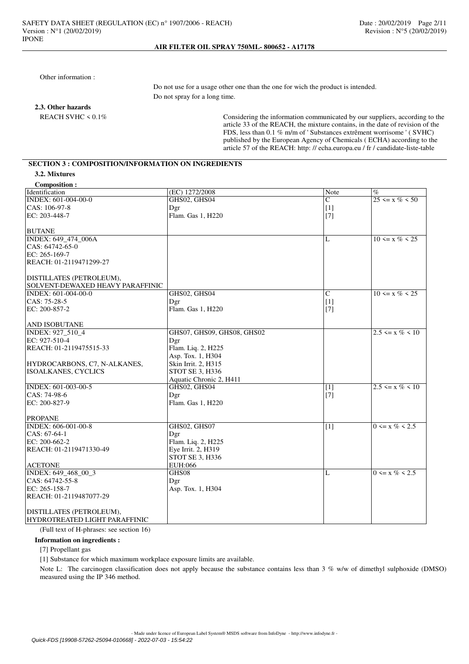Other information :

 Do not use for a usage other one than the one for wich the product is intended. Do not spray for a long time.

**2.3. Other hazards**

Considering the information communicated by our suppliers, according to the article 33 of the REACH, the mixture contains, in the date of revision of the FDS, less than 0.1 % m/m of ' Substances extrêment worrisome ' ( SVHC) published by the European Agency of Chemicals ( ECHA) according to the article 57 of the REACH: http: // echa.europa.eu / fr / candidate-liste-table

# **SECTION 3 : COMPOSITION/INFORMATION ON INGREDIENTS**

| <b>Composition:</b>                   |                            |                 |                       |
|---------------------------------------|----------------------------|-----------------|-----------------------|
| Identification                        | (EC) 1272/2008             | Note            | $\%$                  |
| INDEX: 601-004-00-0                   | GHS02, GHS04               | $\mathcal{C}$   | $25 \le x \% \le 50$  |
| CAS: 106-97-8                         | Dgr                        | $[1]$           |                       |
| EC: 203-448-7                         | Flam. Gas 1, H220          | $[7]$           |                       |
|                                       |                            |                 |                       |
| <b>BUTANE</b>                         |                            |                 |                       |
| INDEX: 649_474_006A                   |                            | L               | $10 \le x \% \le 25$  |
| CAS: 64742-65-0                       |                            |                 |                       |
| EC: $265-169-7$                       |                            |                 |                       |
| REACH: 01-2119471299-27               |                            |                 |                       |
|                                       |                            |                 |                       |
| DISTILLATES (PETROLEUM),              |                            |                 |                       |
| SOLVENT-DEWAXED HEAVY PARAFFINIC      |                            |                 |                       |
| INDEX: 601-004-00-0                   | GHS02, GHS04               | $\mathcal{C}$   | $10 \le x \% \le 25$  |
| CAS: 75-28-5                          | Dgr                        | [1]             |                       |
| EC: 200-857-2                         | Flam. Gas 1, H220          | $[7]$           |                       |
|                                       |                            |                 |                       |
| <b>AND ISOBUTANE</b>                  |                            |                 |                       |
| INDEX: 927_510_4                      | GHS07, GHS09, GHS08, GHS02 |                 | $2.5 \le x \% \le 10$ |
| EC: 927-510-4                         | Dgr                        |                 |                       |
| REACH: 01-2119475515-33               | Flam. Liq. 2, H225         |                 |                       |
|                                       | Asp. Tox. 1, H304          |                 |                       |
| HYDROCARBONS, C7, N-ALKANES,          | Skin Irrit. 2, H315        |                 |                       |
| <b>ISOALKANES, CYCLICS</b>            | STOT SE 3, H336            |                 |                       |
|                                       | Aquatic Chronic 2, H411    |                 |                       |
| INDEX: 601-003-00-5                   | GHS02, GHS04               | [1]             | $2.5 \le x \% \le 10$ |
| CAS: 74-98-6                          | Dgr                        | $[7]$           |                       |
| EC: 200-827-9                         | Flam. Gas 1, H220          |                 |                       |
|                                       |                            |                 |                       |
| <b>PROPANE</b><br>INDEX: 606-001-00-8 | GHS02, GHS07               | $\overline{11}$ | $0 \le x \% \le 2.5$  |
| CAS: 67-64-1                          | Dgr                        |                 |                       |
| EC: 200-662-2                         | Flam. Liq. 2, H225         |                 |                       |
| REACH: 01-2119471330-49               | Eye Irrit. 2, H319         |                 |                       |
|                                       | STOT SE 3, H336            |                 |                       |
| <b>ACETONE</b>                        | EUH:066                    |                 |                       |
| INDEX: 649_468_00_3                   | GHS08                      | L               | $0 \le x \% \le 2.5$  |
| CAS: 64742-55-8                       | Dgr                        |                 |                       |
| EC: 265-158-7                         | Asp. Tox. 1, H304          |                 |                       |
| REACH: 01-2119487077-29               |                            |                 |                       |
|                                       |                            |                 |                       |
| DISTILLATES (PETROLEUM),              |                            |                 |                       |
| HYDROTREATED LIGHT PARAFFINIC         |                            |                 |                       |
|                                       |                            |                 |                       |

(Full text of H-phrases: see section 16)

#### **Information on ingredients :**

[7] Propellant gas

[1] Substance for which maximum workplace exposure limits are available.

Note L: The carcinogen classification does not apply because the substance contains less than 3 % w/w of dimethyl sulphoxide (DMSO) measured using the IP 346 method.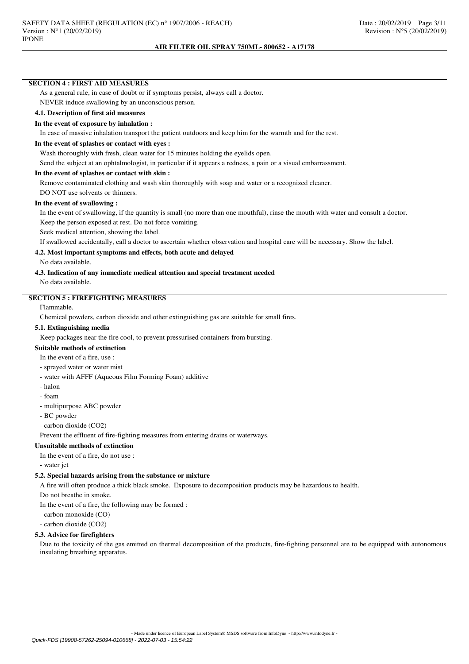### **SECTION 4 : FIRST AID MEASURES**

As a general rule, in case of doubt or if symptoms persist, always call a doctor. NEVER induce swallowing by an unconscious person.

# **4.1. Description of first aid measures**

# **In the event of exposure by inhalation :**

In case of massive inhalation transport the patient outdoors and keep him for the warmth and for the rest.

#### **In the event of splashes or contact with eyes :**

Wash thoroughly with fresh, clean water for 15 minutes holding the eyelids open.

Send the subject at an ophtalmologist, in particular if it appears a redness, a pain or a visual embarrassment.

#### **In the event of splashes or contact with skin :**

Remove contaminated clothing and wash skin thoroughly with soap and water or a recognized cleaner.

DO NOT use solvents or thinners.

# **In the event of swallowing :**

In the event of swallowing, if the quantity is small (no more than one mouthful), rinse the mouth with water and consult a doctor.

Keep the person exposed at rest. Do not force vomiting.

Seek medical attention, showing the label.

If swallowed accidentally, call a doctor to ascertain whether observation and hospital care will be necessary. Show the label.

# **4.2. Most important symptoms and effects, both acute and delayed**

No data available.

# **4.3. Indication of any immediate medical attention and special treatment needed**

No data available.

# **SECTION 5 : FIREFIGHTING MEASURES**

# Flammable.

Chemical powders, carbon dioxide and other extinguishing gas are suitable for small fires.

#### **5.1. Extinguishing media**

Keep packages near the fire cool, to prevent pressurised containers from bursting.

#### **Suitable methods of extinction**

In the event of a fire, use  $\cdot$ 

- sprayed water or water mist
- water with AFFF (Aqueous Film Forming Foam) additive
- halon
- foam
- multipurpose ABC powder
- BC powder
- carbon dioxide (CO2)

Prevent the effluent of fire-fighting measures from entering drains or waterways.

## **Unsuitable methods of extinction**

In the event of a fire, do not use :

- water jet

#### **5.2. Special hazards arising from the substance or mixture**

A fire will often produce a thick black smoke. Exposure to decomposition products may be hazardous to health.

Do not breathe in smoke.

In the event of a fire, the following may be formed :

- carbon monoxide (CO)

- carbon dioxide (CO2)

#### **5.3. Advice for firefighters**

Due to the toxicity of the gas emitted on thermal decomposition of the products, fire-fighting personnel are to be equipped with autonomous insulating breathing apparatus.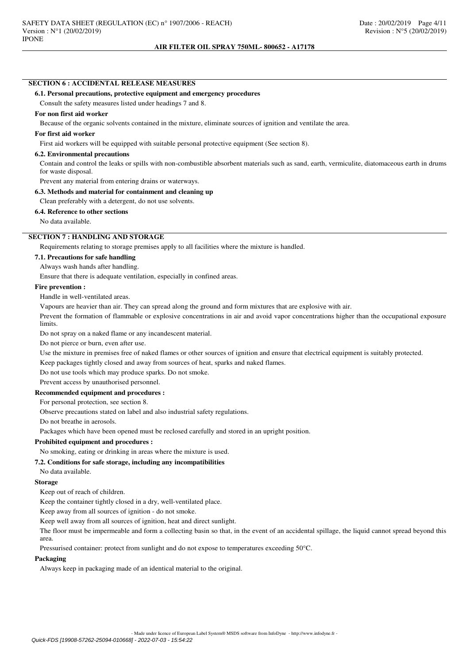# **SECTION 6 : ACCIDENTAL RELEASE MEASURES**

# **6.1. Personal precautions, protective equipment and emergency procedures**

Consult the safety measures listed under headings 7 and 8.

# **For non first aid worker**

Because of the organic solvents contained in the mixture, eliminate sources of ignition and ventilate the area.

# **For first aid worker**

First aid workers will be equipped with suitable personal protective equipment (See section 8).

# **6.2. Environmental precautions**

Contain and control the leaks or spills with non-combustible absorbent materials such as sand, earth, vermiculite, diatomaceous earth in drums for waste disposal.

Prevent any material from entering drains or waterways.

# **6.3. Methods and material for containment and cleaning up**

Clean preferably with a detergent, do not use solvents.

# **6.4. Reference to other sections**

No data available.

# **SECTION 7 : HANDLING AND STORAGE**

Requirements relating to storage premises apply to all facilities where the mixture is handled.

# **7.1. Precautions for safe handling**

Always wash hands after handling.

Ensure that there is adequate ventilation, especially in confined areas.

# **Fire prevention :**

Handle in well-ventilated areas.

Vapours are heavier than air. They can spread along the ground and form mixtures that are explosive with air.

Prevent the formation of flammable or explosive concentrations in air and avoid vapor concentrations higher than the occupational exposure limits.

Do not spray on a naked flame or any incandescent material.

Do not pierce or burn, even after use.

Use the mixture in premises free of naked flames or other sources of ignition and ensure that electrical equipment is suitably protected.

Keep packages tightly closed and away from sources of heat, sparks and naked flames.

Do not use tools which may produce sparks. Do not smoke.

Prevent access by unauthorised personnel.

# **Recommended equipment and procedures :**

For personal protection, see section 8.

Observe precautions stated on label and also industrial safety regulations.

Do not breathe in aerosols.

Packages which have been opened must be reclosed carefully and stored in an upright position.

#### **Prohibited equipment and procedures :**

No smoking, eating or drinking in areas where the mixture is used.

#### **7.2. Conditions for safe storage, including any incompatibilities**

No data available.

#### **Storage**

Keep out of reach of children.

Keep the container tightly closed in a dry, well-ventilated place.

Keep away from all sources of ignition - do not smoke.

Keep well away from all sources of ignition, heat and direct sunlight.

The floor must be impermeable and form a collecting basin so that, in the event of an accidental spillage, the liquid cannot spread beyond this area.

Pressurised container: protect from sunlight and do not expose to temperatures exceeding 50°C.

#### **Packaging**

Always keep in packaging made of an identical material to the original.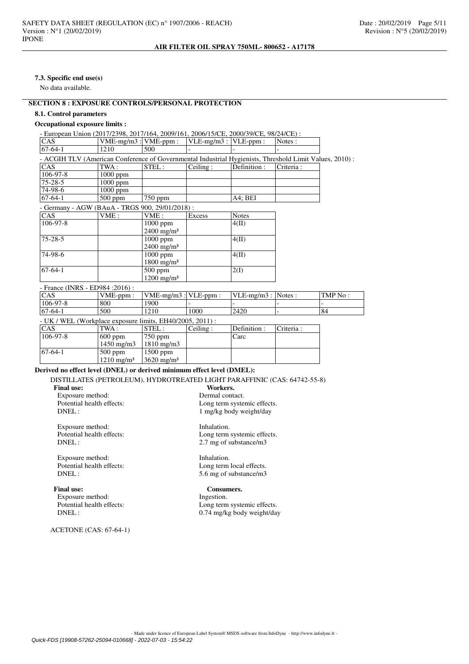### **7.3. Specific end use(s)**

No data available.

# **SECTION 8 : EXPOSURE CONTROLS/PERSONAL PROTECTION**

## **8.1. Control parameters**

# **Occupational exposure limits :**

| - European Union (2017/2398, 2017/164, 2009/161, 2006/15/CE, 2000/39/CE, 98/24/CE) :                   |                           |                          |                           |              |           |  |
|--------------------------------------------------------------------------------------------------------|---------------------------|--------------------------|---------------------------|--------------|-----------|--|
| CAS.                                                                                                   | $VME-mg/m3$ : $VME-ppm$ : |                          | $VLE-mg/m3$ : $VLE-ppm$ : |              | Notes:    |  |
| $67-64-1$                                                                                              | 1210                      | 500                      |                           |              |           |  |
| - ACGIH TLV (American Conference of Governmental Industrial Hygienists, Threshold Limit Values, 2010): |                           |                          |                           |              |           |  |
| <b>CAS</b>                                                                                             | TWA:                      | STEL:                    | Ceiling:                  | Definition:  | Criteria: |  |
| $106 - 97 - 8$                                                                                         | $1000$ ppm                |                          |                           |              |           |  |
| $75 - 28 - 5$                                                                                          | $1000$ ppm                |                          |                           |              |           |  |
| 74-98-6                                                                                                | $1000$ ppm                |                          |                           |              |           |  |
| $67-64-1$                                                                                              | $500$ ppm                 | $750$ ppm                |                           | A4; BEI      |           |  |
| - Germany - AGW (BAuA - TRGS 900, 29/01/2018) :                                                        |                           |                          |                           |              |           |  |
| CAS.                                                                                                   | VME:                      | VME:                     | Excess                    | <b>Notes</b> |           |  |
| $106-97-8$                                                                                             |                           | $1000$ ppm               |                           | 4(II)        |           |  |
|                                                                                                        |                           | $2400 \text{ mg/m}^3$    |                           |              |           |  |
| $75 - 28 - 5$                                                                                          |                           | $1000$ ppm               |                           | 4(II)        |           |  |
|                                                                                                        |                           | $2400 \text{ mg/m}^3$    |                           |              |           |  |
| 74-98-6                                                                                                |                           | $1000$ ppm               |                           | 4(II)        |           |  |
|                                                                                                        |                           | $1800$ mg/m <sup>3</sup> |                           |              |           |  |
|                                                                                                        |                           |                          |                           |              |           |  |
| $67-64-1$                                                                                              |                           | $500$ ppm                |                           | 2(I)         |           |  |

- France (INRS - ED984 :2016) :

| <b>CAS</b>                                                | $VME-ppm$ :           | $VME-mg/m3$ : $VLE-ppm$ : |          | $ VLE-mg/m3 $ : Notes : |            | TMP No: |
|-----------------------------------------------------------|-----------------------|---------------------------|----------|-------------------------|------------|---------|
| $106 - 97 - 8$                                            | 800                   | 1900                      |          |                         |            |         |
| $ 67-64-1 $                                               | 500                   | 1210                      | 1000     | 2420                    |            | 84      |
| - UK / WEL (Workplace exposure limits, EH40/2005, 2011) : |                       |                           |          |                         |            |         |
| <b>CAS</b>                                                | TWA :                 | STEL :                    | Ceiling: | Definition :            | Criteria : |         |
| $106 - 97 - 8$                                            | $600$ ppm             | $750$ ppm                 |          | Carc                    |            |         |
|                                                           | $1450 \text{ mg/m}$   | $1810 \text{ mg/m}$       |          |                         |            |         |
| $ 67-64-1 $                                               | $500$ ppm             | $1500$ ppm                |          |                         |            |         |
|                                                           | $1210 \text{ mg/m}^3$ | $3620 \text{ mg/m}^3$     |          |                         |            |         |

# **Derived no effect level (DNEL) or derived minimum effect level (DMEL):**

DISTILLATES (PETROLEUM), HYDROTREATED LIGHT PARAFFINIC (CAS: 64742-55-8)

#### **Final use:**

Exposure method: Dermal contact.<br>
Potential health effects: Long term system Potential health effects:<br>
DNFI :<br>  $1 \text{ m} \sigma / k \sigma$  hody weight/day

Exposure method: Inhalation.<br>
Potential health effects: Long term<br>
Long term DNEL : 2.7 mg of substance/m3

Exposure method: Inhalation.<br>
Potential health effects: Long term<br>
Long term

**Final use:** Consumers.<br>
Exposure method: The last integration. Exposure method:<br>Potential health effects:

ACETONE (CAS: 67-64-1)

1 mg/kg body weight/day

Long term systemic effects.

Potential health effects:<br>
DNEL:<br>
5.6 mg of substance/m3 5.6 mg of substance/m3

Potential health effects:<br>
DNEL:<br>  $0.74 \text{ mg/kg body weight/day}$ 0.74 mg/kg body weight/day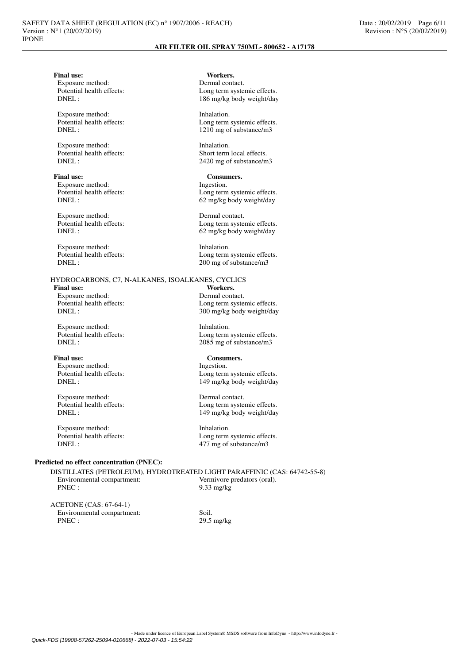Exposure method:<br>Potential health effects:

Exposure method: Inhalation.<br>
Potential health effects: Long term<br>
Long term

Exposure method: Inhalation.<br>
Potential health effects: Short term

**Final use:** Consumers.<br>
Exposure method: The lines of the lines of the lines of the lines of the lines of the lines of the lines of the lines of the lines of the lines of the lines of the lines of the lines of the lines o Exposure method:

Exposure method: Dermal contact.<br>
Potential health effects: Long term system

Exposure method: Inhalation.<br>
Potential health effects: Long term<br>
Long term

**Final use:** Exposure method: Dermal contact.<br>
Potential health effects: Long term system

Exposure method: Inhalation.<br>
Potential health effects: Long term<br>
Long term

Exposure method:

Exposure method: Dermal contact.<br>
Potential health effects: Long term system

Exposure method: Inhalation.<br>
Potential health effects: Inhalation.<br>
Long term

# **Predicted no effect concentration (PNEC):**

DISTILLATES (PETROLEUM), HYDROTREATED LIGHT PARAFFINIC (CAS: 64742-55-8) Environmental compartment: Vermivore predators (oral).<br>PNEC: 9.33 mg/kg

| ACETONE (CAS: 67-64-1)     |                      |
|----------------------------|----------------------|
| Environmental compartment: | -Soil.               |
| PNEC:                      | $29.5 \text{ mg/kg}$ |

**Final use:** Workers.<br> **Fxnosure method:** Dermal contact Potential health effects:<br>
DNFI: 186 mo/kg hody weight/day 186 mg/kg body weight/day

Potential health effects:<br>
DNFI : Long term systemic effects.<br>  $1210 \text{ mo of substance/m3}$ 1210 mg of substance/m3

Potential health effects:<br>
Short term local effects.<br>
2420 ms of substance/m<br>
2420 ms of substance/m 2420 mg of substance/m3

Potential health effects:<br>
DNEL:<br>  $62 \text{ m}g/\text{kg}$  body weight/day 62 mg/kg body weight/day

Potential health effects:<br>
DNEL:<br>  $62 \text{ m} \alpha/\beta$  hody weight/day 62 mg/kg body weight/day

Potential health effects:<br>
DNEL:<br>  $200 \text{ mg}$  of substance/m3 200 mg of substance/m3

HYDROCARBONS, C7, N-ALKANES, ISOALKANES, CYCLICS

Potential health effects:<br>
DNEL:<br>  $300 \text{ m}$ /kg body weight/day 300 mg/kg body weight/day

Potential health effects:<br>
DNEL:<br>
2085 mg of substance/m3  $2085$  mg of substance/m3

Final use: Consumers.<br>
Exposure method: The set of the set of the set of the set of the set of the set of the set of the set of the set of the set of the set of the set of the set of the set of the set of the set of the se Potential health effects:<br>
DNEL:<br>
149 mg/kg body weight/day 149 mg/kg body weight/day

Potential health effects:<br>
DNEL:<br>
149 mo/kg hody weight/day 149 mg/kg body weight/day

Potential health effects:<br>
DNEL:<br>  $477 \text{ mg}$  of substance/m3 477 mg of substance/m3

 $9.33$  mg/kg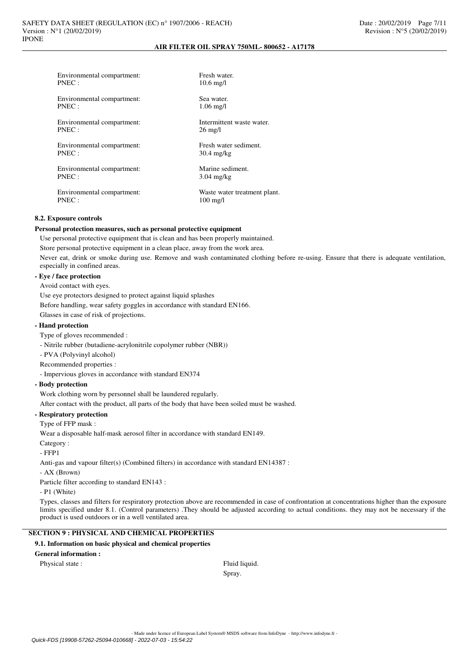| Environmental compartment: | Fresh water.                 |
|----------------------------|------------------------------|
| PNEC:                      | $10.6 \,\mathrm{mg}/l$       |
| Environmental compartment: | Sea water.                   |
| PNEC:                      | $1.06 \text{ mg/l}$          |
| Environmental compartment: | Intermittent waste water.    |
| PNEC:                      | $26 \text{ mg/l}$            |
| Environmental compartment: | Fresh water sediment.        |
| PNEC:                      | $30.4 \text{ mg/kg}$         |
| Environmental compartment: | Marine sediment.             |
| PNEC:                      | $3.04$ mg/kg                 |
| Environmental compartment: | Waste water treatment plant. |
| PNEC:                      | $100 \text{ mg/l}$           |

#### **8.2. Exposure controls**

#### **Personal protection measures, such as personal protective equipment**

Use personal protective equipment that is clean and has been properly maintained.

Store personal protective equipment in a clean place, away from the work area.

Never eat, drink or smoke during use. Remove and wash contaminated clothing before re-using. Ensure that there is adequate ventilation, especially in confined areas.

### **- Eye / face protection**

Avoid contact with eyes.

Use eye protectors designed to protect against liquid splashes

Before handling, wear safety goggles in accordance with standard EN166.

Glasses in case of risk of projections.

## **- Hand protection**

Type of gloves recommended :

- Nitrile rubber (butadiene-acrylonitrile copolymer rubber (NBR))

- PVA (Polyvinyl alcohol)

Recommended properties :

- Impervious gloves in accordance with standard EN374

#### **- Body protection**

Work clothing worn by personnel shall be laundered regularly.

After contact with the product, all parts of the body that have been soiled must be washed.

## **- Respiratory protection**

Type of FFP mask :

Wear a disposable half-mask aerosol filter in accordance with standard EN149.

Category :

- FFP1

Anti-gas and vapour filter(s) (Combined filters) in accordance with standard EN14387 :

- AX (Brown)

Particle filter according to standard EN143 :

- P1 (White)

Types, classes and filters for respiratory protection above are recommended in case of confrontation at concentrations higher than the exposure limits specified under 8.1. (Control parameters) .They should be adjusted according to actual conditions. they may not be necessary if the product is used outdoors or in a well ventilated area.

# **SECTION 9 : PHYSICAL AND CHEMICAL PROPERTIES**

# **9.1. Information on basic physical and chemical properties**

# **General information :**

Physical state : Fluid liquid.

Spray.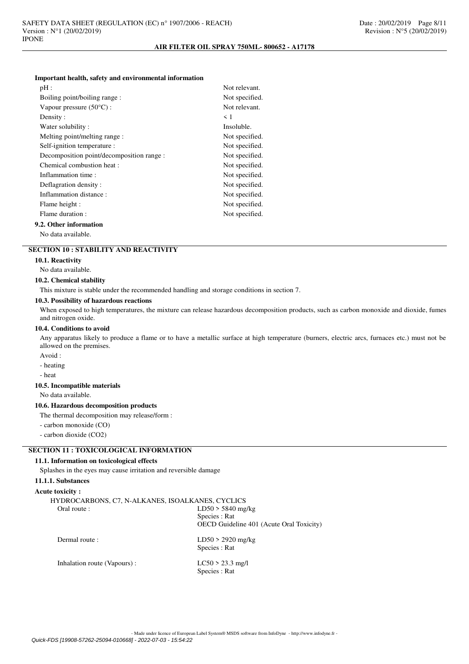#### **Important health, safety and environmental information**

| pH:                                       | Not relevant.  |
|-------------------------------------------|----------------|
| Boiling point/boiling range:              | Not specified. |
| Vapour pressure $(50^{\circ}C)$ :         | Not relevant.  |
| Density:                                  | $\leq 1$       |
| Water solubility:                         | Insoluble.     |
| Melting point/melting range:              | Not specified. |
| Self-ignition temperature :               | Not specified. |
| Decomposition point/decomposition range : | Not specified. |
| Chemical combustion heat :                | Not specified. |
| Inflammation time:                        | Not specified. |
| Deflagration density:                     | Not specified. |
| Inflammation distance:                    | Not specified. |
| Flame height :                            | Not specified. |
| Flame duration :                          | Not specified. |
| 2. Other information                      |                |

# **9.2. Other information**

No data available.

# **SECTION 10 : STABILITY AND REACTIVITY**

#### **10.1. Reactivity**

No data available.

#### **10.2. Chemical stability**

This mixture is stable under the recommended handling and storage conditions in section 7.

#### **10.3. Possibility of hazardous reactions**

When exposed to high temperatures, the mixture can release hazardous decomposition products, such as carbon monoxide and dioxide, fumes and nitrogen oxide.

# **10.4. Conditions to avoid**

Any apparatus likely to produce a flame or to have a metallic surface at high temperature (burners, electric arcs, furnaces etc.) must not be allowed on the premises.

Avoid :

- heating

- heat

# **10.5. Incompatible materials**

No data available.

# **10.6. Hazardous decomposition products**

The thermal decomposition may release/form :

- carbon monoxide (CO)

- carbon dioxide (CO2)

# **SECTION 11 : TOXICOLOGICAL INFORMATION**

# **11.1. Information on toxicological effects**

Splashes in the eyes may cause irritation and reversible damage

# **11.1.1. Substances**

# **Acute toxicity :**

| HYDROCARBONS, C7, N-ALKANES, ISOALKANES, CYCLICS |
|--------------------------------------------------|
| $LD50 > 5840$ mg/kg                              |
| Species : Rat                                    |
| OECD Guideline 401 (Acute Oral Toxicity)         |
| $LD50 > 2920$ mg/kg                              |
| Species : Rat                                    |
| $LC50 > 23.3$ mg/l                               |
| Species : Rat                                    |
|                                                  |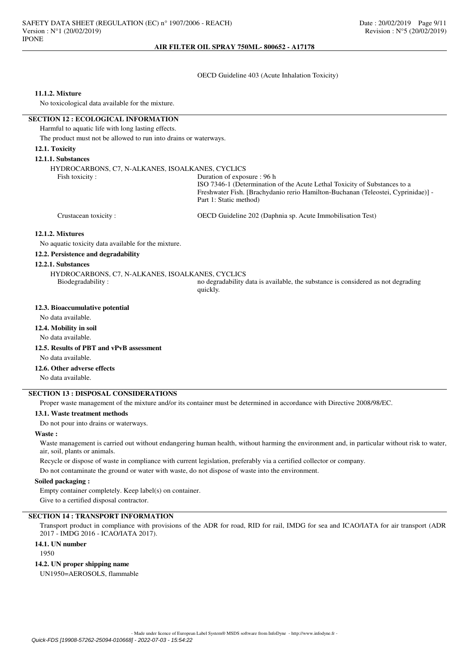## OECD Guideline 403 (Acute Inhalation Toxicity)

## **11.1.2. Mixture**

No toxicological data available for the mixture.

## **SECTION 12 : ECOLOGICAL INFORMATION**

Harmful to aquatic life with long lasting effects.

The product must not be allowed to run into drains or waterways.

## **12.1. Toxicity**

### **12.1.1. Substances**

HYDROCARBONS, C7, N-ALKANES, ISOALKANES, CYCLICS

Duration of exposure : 96 h

ISO 7346-1 (Determination of the Acute Lethal Toxicity of Substances to a Freshwater Fish. [Brachydanio rerio Hamilton-Buchanan (Teleostei, Cyprinidae)] - Part 1: Static method)

Crustacean toxicity : OECD Guideline 202 (Daphnia sp. Acute Immobilisation Test)

#### **12.1.2. Mixtures**

No aquatic toxicity data available for the mixture.

# **12.2. Persistence and degradability**

## **12.2.1. Substances**

HYDROCARBONS, C7, N-ALKANES, ISOALKANES, CYCLICS

no degradability data is available, the substance is considered as not degrading quickly.

# **12.3. Bioaccumulative potential**

No data available.

# **12.4. Mobility in soil**

No data available.

# **12.5. Results of PBT and vPvB assessment**

No data available.

## **12.6. Other adverse effects**

No data available.

# **SECTION 13 : DISPOSAL CONSIDERATIONS**

Proper waste management of the mixture and/or its container must be determined in accordance with Directive 2008/98/EC.

## **13.1. Waste treatment methods**

Do not pour into drains or waterways.

#### **Waste :**

Waste management is carried out without endangering human health, without harming the environment and, in particular without risk to water, air, soil, plants or animals.

Recycle or dispose of waste in compliance with current legislation, preferably via a certified collector or company.

Do not contaminate the ground or water with waste, do not dispose of waste into the environment.

#### **Soiled packaging :**

Empty container completely. Keep label(s) on container. Give to a certified disposal contractor.

# **SECTION 14 : TRANSPORT INFORMATION**

Transport product in compliance with provisions of the ADR for road, RID for rail, IMDG for sea and ICAO/IATA for air transport (ADR 2017 - IMDG 2016 - ICAO/IATA 2017).

# **14.1. UN number**

1950

# **14.2. UN proper shipping name**

UN1950=AEROSOLS, flammable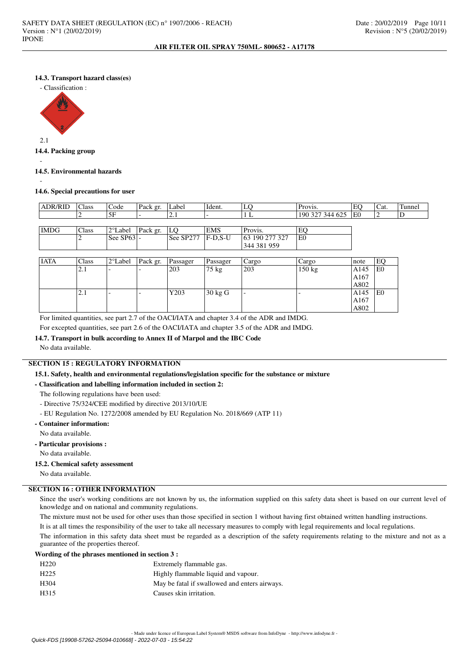# **14.3. Transport hazard class(es)**

- Classification :



## **14.4. Packing group**

## **14.5. Environmental hazards**

-

-

## **14.6. Special precautions for user**

| <b>ADR/RID</b> | 'Class | Code           | Pack gr. | Label     | Ident.      | LÇ             | Provis.         | EC              | Cat. | Tunnel |
|----------------|--------|----------------|----------|-----------|-------------|----------------|-----------------|-----------------|------|--------|
|                |        | .5F            |          | $\sim$ 1  |             |                | 190 327 344 625 | ΙE <sub>0</sub> |      |        |
|                |        |                |          |           |             |                |                 |                 |      |        |
| <b>IMDG</b>    | Class  | 2°Label        | Pack gr. | LO        | <b>EMS</b>  | Provis.        | EC              |                 |      |        |
|                |        | $ See SP63 $ - |          | See SP277 | $ F-D.S-U $ | 63 190 277 327 | IE0             |                 |      |        |
|                |        |                |          |           |             | 344 381 959    |                 |                 |      |        |

| <b>IATA</b> | Class | 2°Label | Pack gr. | Passager | Passager          | Cargo                    | Cargo  | note | EO  |
|-------------|-------|---------|----------|----------|-------------------|--------------------------|--------|------|-----|
|             | 2.1   | -       |          | 203      | 75 kg             | 203                      | 150 kg | A145 | lE0 |
|             |       |         |          |          |                   |                          |        | A167 |     |
|             |       |         |          |          |                   |                          |        | A802 |     |
|             | 2.1   | -       |          | Y203     | $30 \text{ kg}$ G | $\overline{\phantom{0}}$ |        | A145 | lE0 |
|             |       |         |          |          |                   |                          |        | A167 |     |
|             |       |         |          |          |                   |                          |        | A802 |     |

For limited quantities, see part 2.7 of the OACI/IATA and chapter 3.4 of the ADR and IMDG. For excepted quantities, see part 2.6 of the OACI/IATA and chapter 3.5 of the ADR and IMDG.

# **14.7. Transport in bulk according to Annex II of Marpol and the IBC Code**

No data available.

# **SECTION 15 : REGULATORY INFORMATION**

#### **15.1. Safety, health and environmental regulations/legislation specific for the substance or mixture**

#### **- Classification and labelling information included in section 2:**

The following regulations have been used:

- Directive 75/324/CEE modified by directive 2013/10/UE
- EU Regulation No. 1272/2008 amended by EU Regulation No. 2018/669 (ATP 11)

# **- Container information:**

No data available.

**- Particular provisions :**

No data available.

#### **15.2. Chemical safety assessment**

No data available.

# **SECTION 16 : OTHER INFORMATION**

Since the user's working conditions are not known by us, the information supplied on this safety data sheet is based on our current level of knowledge and on national and community regulations.

The mixture must not be used for other uses than those specified in section 1 without having first obtained written handling instructions.

It is at all times the responsibility of the user to take all necessary measures to comply with legal requirements and local regulations.

The information in this safety data sheet must be regarded as a description of the safety requirements relating to the mixture and not as a guarantee of the properties thereof.

# **Wording of the phrases mentioned in section 3 :**

| H <sub>220</sub> | Extremely flammable gas.                      |
|------------------|-----------------------------------------------|
| H <sub>225</sub> | Highly flammable liquid and vapour.           |
| H <sub>304</sub> | May be fatal if swallowed and enters airways. |
| H315             | Causes skin irritation.                       |